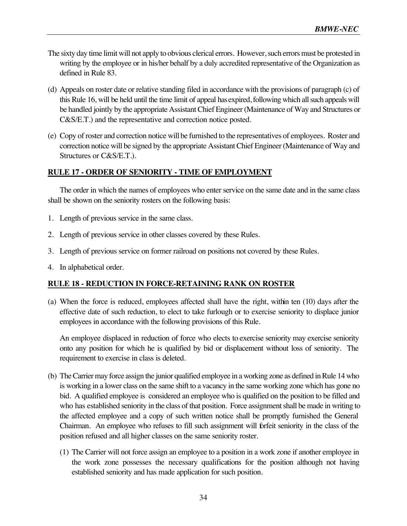- The sixty day time limit will not apply to obvious clerical errors. However, such errors must be protested in writing by the employee or in his/her behalf by a duly accredited representative of the Organization as defined in Rule 83.
- (d) Appeals on roster date or relative standing filed in accordance with the provisions of paragraph (c) of this Rule 16, will be held until the time limit of appeal has expired, following which all such appeals will be handled jointly by the appropriate Assistant Chief Engineer (Maintenance of Way and Structures or C&S/E.T.) and the representative and correction notice posted.
- (e) Copy of roster and correction notice will be furnished to the representatives of employees. Roster and correction notice will be signed by the appropriate Assistant Chief Engineer (Maintenance of Way and Structures or C&S/E.T.).

## **RULE 17 - ORDER OF SENIORITY - TIME OF EMPLOYMENT**

The order in which the names of employees who enter service on the same date and in the same class shall be shown on the seniority rosters on the following basis:

- 1. Length of previous service in the same class.
- 2. Length of previous service in other classes covered by these Rules.
- 3. Length of previous service on former railroad on positions not covered by these Rules.
- 4. In alphabetical order.

## **RULE 18 - REDUCTION IN FORCE-RETAINING RANK ON ROSTER**

(a) When the force is reduced, employees affected shall have the right, within ten (10) days after the effective date of such reduction, to elect to take furlough or to exercise seniority to displace junior employees in accordance with the following provisions of this Rule.

An employee displaced in reduction of force who elects to exercise seniority may exercise seniority onto any position for which he is qualified by bid or displacement without loss of seniority. The requirement to exercise in class is deleted.

- (b) The Carrier may force assign the junior qualified employee in a working zone as defined in Rule 14 who is working in a lower class on the same shift to a vacancy in the same working zone which has gone no bid. A qualified employee is considered an employee who is qualified on the position to be filled and who has established seniority in the class of that position. Force assignment shall be made in writing to the affected employee and a copy of such written notice shall be promptly furnished the General Chairman. An employee who refuses to fill such assignment will forfeit seniority in the class of the position refused and all higher classes on the same seniority roster.
	- (1) The Carrier will not force assign an employee to a position in a work zone if another employee in the work zone possesses the necessary qualifications for the position although not having established seniority and has made application for such position.